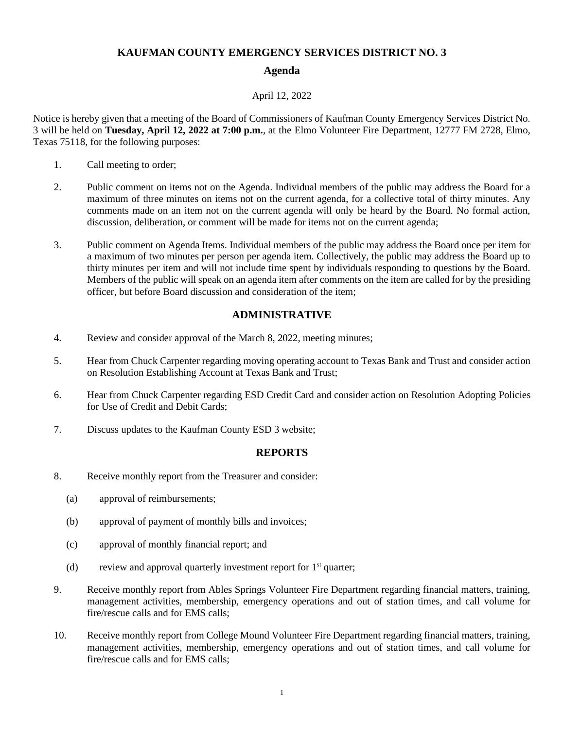### **KAUFMAN COUNTY EMERGENCY SERVICES DISTRICT NO. 3**

## **Agenda**

#### April 12, 2022

Notice is hereby given that a meeting of the Board of Commissioners of Kaufman County Emergency Services District No. 3 will be held on **Tuesday, April 12, 2022 at 7:00 p.m.**, at the Elmo Volunteer Fire Department, 12777 FM 2728, Elmo, Texas 75118, for the following purposes:

- 1. Call meeting to order;
- 2. Public comment on items not on the Agenda. Individual members of the public may address the Board for a maximum of three minutes on items not on the current agenda, for a collective total of thirty minutes. Any comments made on an item not on the current agenda will only be heard by the Board. No formal action, discussion, deliberation, or comment will be made for items not on the current agenda;
- 3. Public comment on Agenda Items. Individual members of the public may address the Board once per item for a maximum of two minutes per person per agenda item. Collectively, the public may address the Board up to thirty minutes per item and will not include time spent by individuals responding to questions by the Board. Members of the public will speak on an agenda item after comments on the item are called for by the presiding officer, but before Board discussion and consideration of the item;

# **ADMINISTRATIVE**

- 4. Review and consider approval of the March 8, 2022, meeting minutes;
- 5. Hear from Chuck Carpenter regarding moving operating account to Texas Bank and Trust and consider action on Resolution Establishing Account at Texas Bank and Trust;
- 6. Hear from Chuck Carpenter regarding ESD Credit Card and consider action on Resolution Adopting Policies for Use of Credit and Debit Cards;
- 7. Discuss updates to the Kaufman County ESD 3 website;

### **REPORTS**

- 8. Receive monthly report from the Treasurer and consider:
	- (a) approval of reimbursements;
	- (b) approval of payment of monthly bills and invoices;
	- (c) approval of monthly financial report; and
	- (d) review and approval quarterly investment report for  $1<sup>st</sup>$  quarter;
- 9. Receive monthly report from Ables Springs Volunteer Fire Department regarding financial matters, training, management activities, membership, emergency operations and out of station times, and call volume for fire/rescue calls and for EMS calls;
- 10. Receive monthly report from College Mound Volunteer Fire Department regarding financial matters, training, management activities, membership, emergency operations and out of station times, and call volume for fire/rescue calls and for EMS calls;